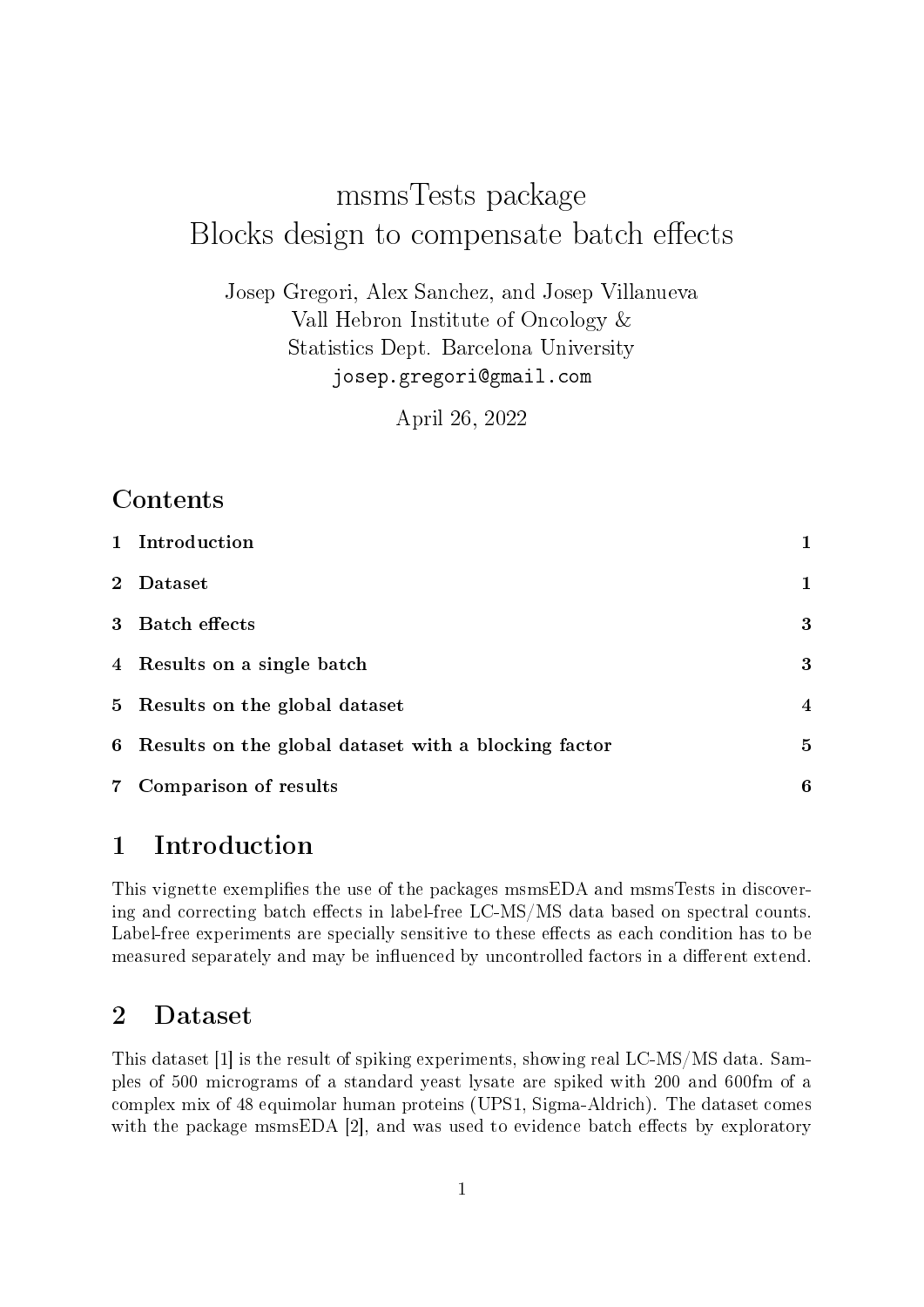# msmsTests package Blocks design to compensate batch effects

Josep Gregori, Alex Sanchez, and Josep Villanueva Vall Hebron Institute of Oncology & Statistics Dept. Barcelona University josep.gregori@gmail.com

April 26, 2022

# Contents

|             | 1 Introduction                                         | 1              |
|-------------|--------------------------------------------------------|----------------|
| $2^{\circ}$ | Dataset                                                | 1              |
|             | 3 Batch effects                                        | 3              |
|             | 4 Results on a single batch                            | 3              |
|             | 5 Results on the global dataset                        | $\overline{4}$ |
|             | 6 Results on the global dataset with a blocking factor | 5              |
|             | 7 Comparison of results                                | 6              |

# 1 Introduction

This vignette exemplifies the use of the packages msmsEDA and msmsTests in discovering and correcting batch effects in label-free  $LC-MS/MS$  data based on spectral counts. Label-free experiments are specially sensitive to these effects as each condition has to be measured separately and may be influenced by uncontrolled factors in a different extend.

# 2 Dataset

This dataset [1] is the result of spiking experiments, showing real LC-MS/MS data. Samples of 500 micrograms of a standard yeast lysate are spiked with 200 and 600fm of a complex mix of 48 equimolar human proteins (UPS1, Sigma-Aldrich). The dataset comes with the package msmsEDA  $[2]$ , and was used to evidence batch effects by exploratory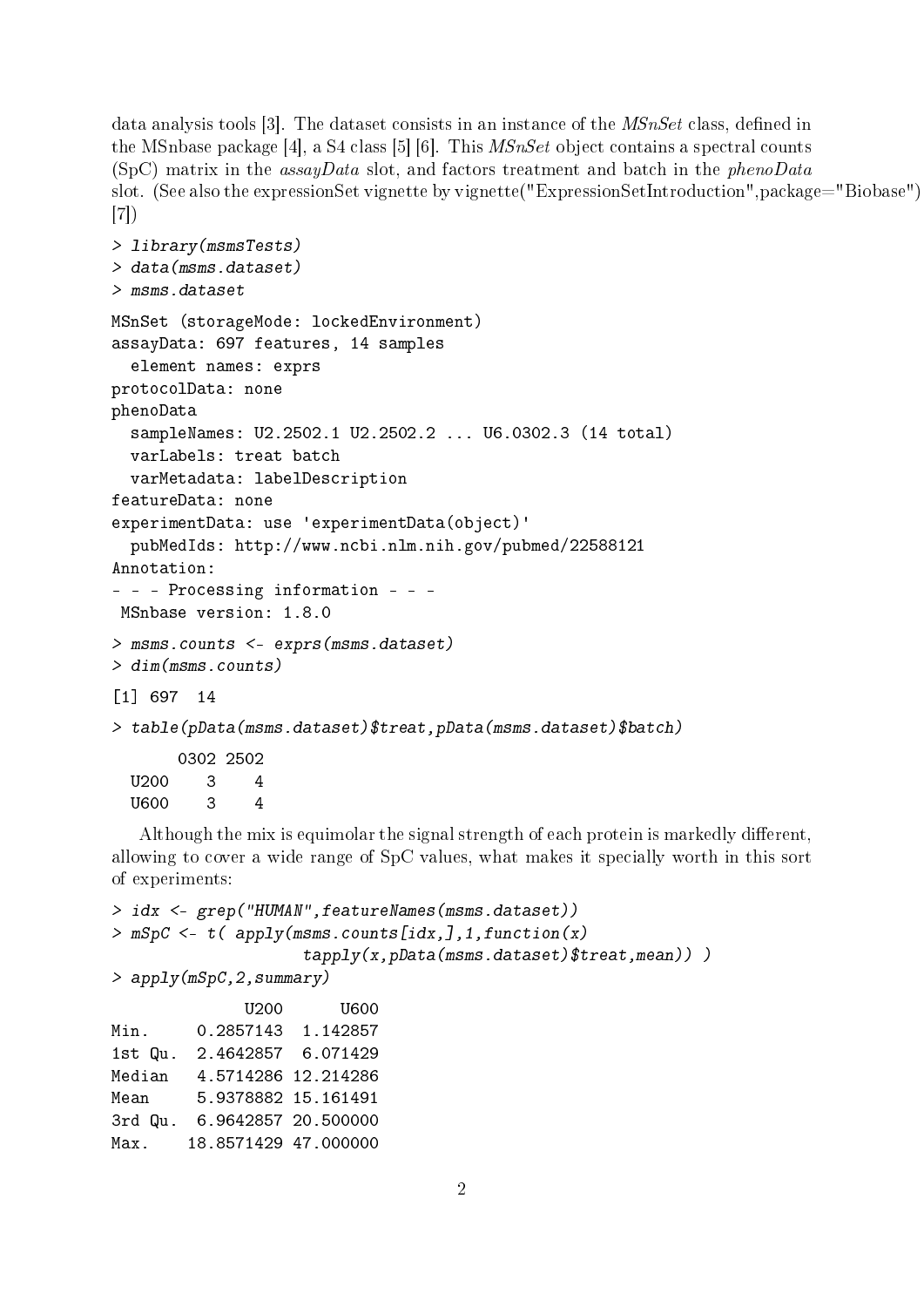data analysis tools  $|3|$ . The dataset consists in an instance of the *MSnSet* class, defined in the MSnbase package [4], a S4 class [5] [6]. This MSnSet object contains a spectral counts (SpC) matrix in the assayData slot, and factors treatment and batch in the phenoData slot. (See also the expressionSet vignette by vignette("ExpressionSetIntroduction",package="Biobase") [7])

```
> library(msmsTests)
> data(msms.dataset)
> msms.dataset
MSnSet (storageMode: lockedEnvironment)
assayData: 697 features, 14 samples
  element names: exprs
protocolData: none
phenoData
  sampleNames: U2.2502.1 U2.2502.2 ... U6.0302.3 (14 total)
  varLabels: treat batch
  varMetadata: labelDescription
featureData: none
experimentData: use 'experimentData(object)'
  pubMedIds: http://www.ncbi.nlm.nih.gov/pubmed/22588121
Annotation:
- - - Processing information - - -
MSnbase version: 1.8.0
> msms.counts <- exprs(msms.dataset)
> dim(msms.counts)
[1] 697 14
> table(pData(msms.dataset)$treat,pData(msms.dataset)$batch)
       0302 2502
  U200 3 4
  U600 3 4
```
Although the mix is equimolar the signal strength of each protein is markedly different, allowing to cover a wide range of SpC values, what makes it specially worth in this sort of experiments:

```
> idx <- grep("HUMAN",featureNames(msms.dataset))
> mSpC <- t( apply(msms.counts[idx,],1,function(x)
                   tapply(x,pData(msms.dataset)$treat,mean)))
> apply(mSpC,2,summary)
             U200 U600
Min. 0.2857143 1.142857
1st Qu. 2.4642857 6.071429
Median 4.5714286 12.214286
Mean 5.9378882 15.161491
3rd Qu. 6.9642857 20.500000
Max. 18.8571429 47.000000
```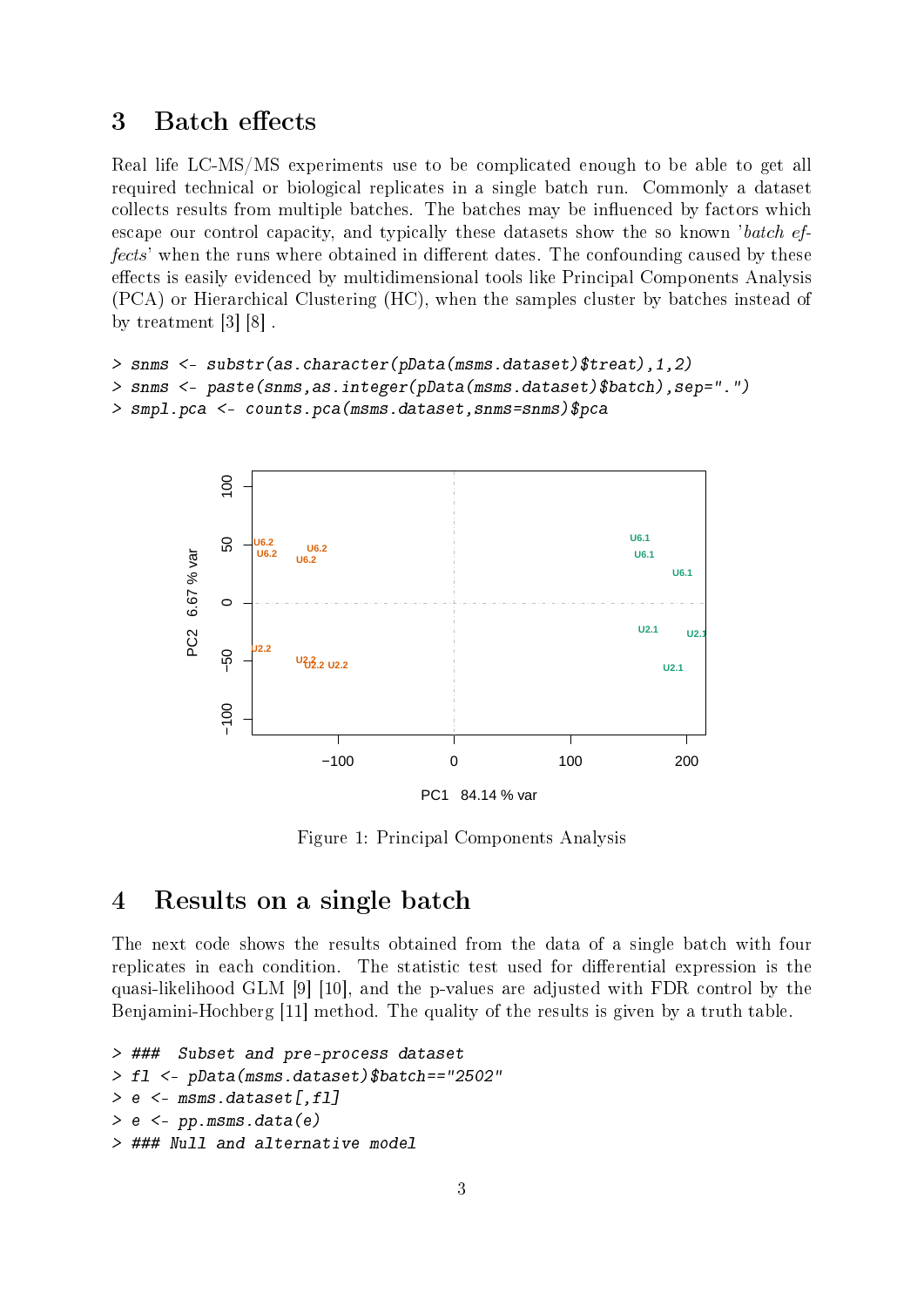### 3 Batch effects

Real life LC-MS/MS experiments use to be complicated enough to be able to get all required technical or biological replicates in a single batch run. Commonly a dataset collects results from multiple batches. The batches may be influenced by factors which escape our control capacity, and typically these datasets show the so known 'batch effects' when the runs where obtained in different dates. The confounding caused by these effects is easily evidenced by multidimensional tools like Principal Components Analysis (PCA) or Hierarchical Clustering (HC), when the samples cluster by batches instead of by treatment [3] [8] .

```
> snms <- substr(as.character(pData(msms.dataset)$treat),1,2)
> snms <- paste(snms,as.integer(pData(msms.dataset)$batch),sep=".")
> smpl.pca <- counts.pca(msms.dataset,snms=snms)$pca
```


Figure 1: Principal Components Analysis

# 4 Results on a single batch

The next code shows the results obtained from the data of a single batch with four replicates in each condition. The statistic test used for differential expression is the quasi-likelihood GLM [9] [10], and the p-values are adjusted with FDR control by the Benjamini-Hochberg [11] method. The quality of the results is given by a truth table.

```
> ### Subset and pre-process dataset
> fl <- pData(msms.dataset)$batch=="2502"
> e <- msms.dataset [,fl]
> e < - pp.msms.data(e)> ### Null and alternative model
```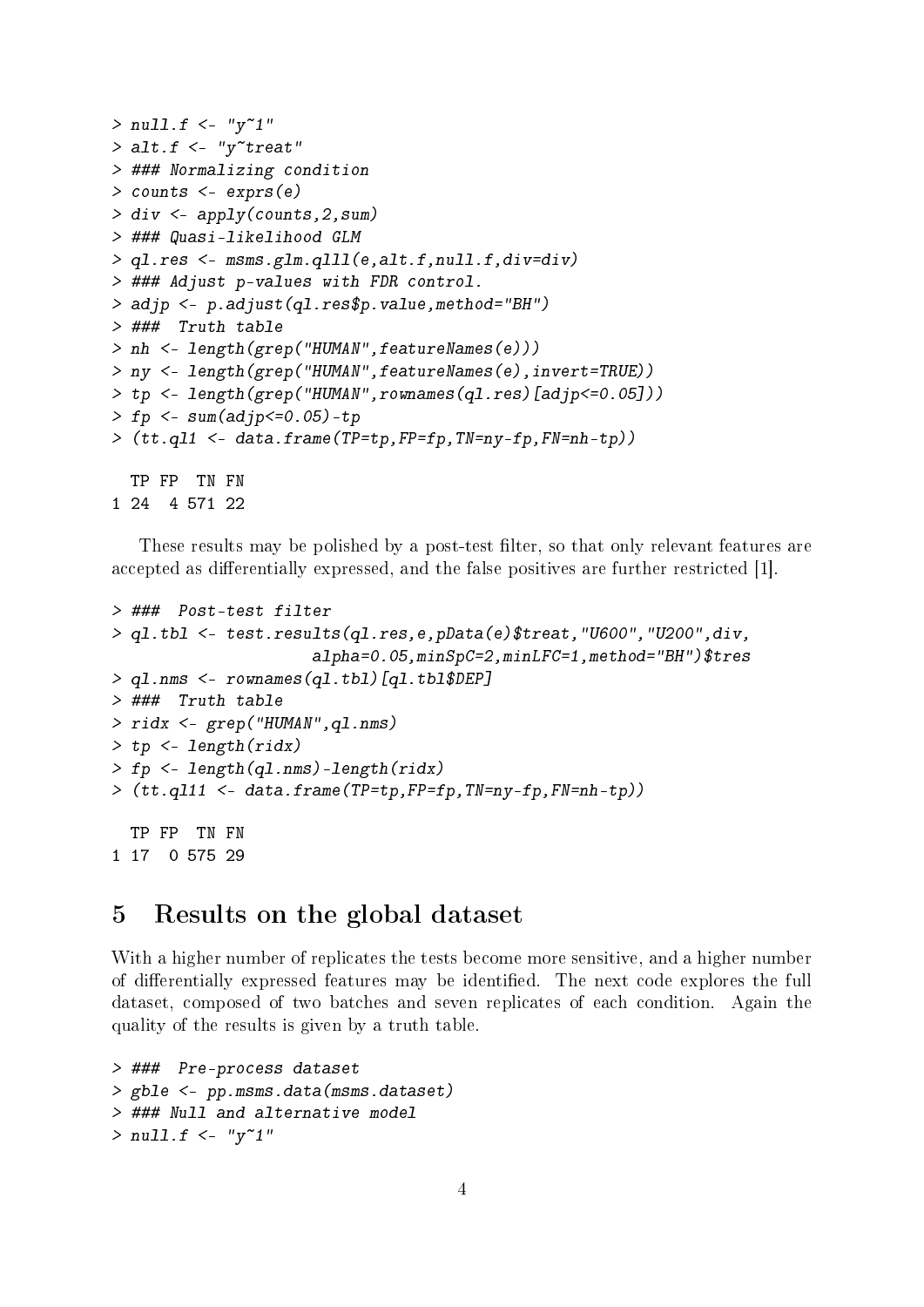```
> null.f < - "y"1"
> alt.f \leq "y" treat"
> ### Normalizing condition
> counts <- exprs(e)
> div <- apply(counts,2,sum)
> ### Quasi-likelihood GLM
> ql.res <- msms.glm.qlll(e,alt.f,null.f,div=div)
> ### Adjust p-values with FDR control.
> adjp <- p.adjust(ql.res$p.value,method="BH")
> ### Truth table
> nh <- length(grep("HUMAN",featureNames(e)))
> ny <- length(grep("HUMAN",featureNames(e),invert=TRUE))
> tp <- length(grep("HUMAN",rownames(ql.res)[adjp<=0.05]))
> fp <- sum(adjp<=0.05)-tp
> (tt.ql1 <- data.frame(TP=tp,FP=fp,TN=ny-fp,FN=nh-tp))
  TP FP TN FN
1 24 4 571 22
```
These results may be polished by a post-test filter, so that only relevant features are accepted as differentially expressed, and the false positives are further restricted [1].

```
> ### Post-test filter
> ql.tbl <- test.results(ql.res,e,pData(e)$treat,"U600","U200",div,
                     alpha=0.05,minSpC=2,minLFC=1,method="BH")$tres
> ql.nms <- rownames(ql.tbl)[ql.tbl$DEP]
> ### Truth table
> ridx <- grep("HUMAN",ql.nms)
> tp <- length(ridx)
> fp <- length(ql.nms)-length(ridx)
> (tt.ql11 <- data.frame(TP=tp,FP=fp,TN=ny-fp,FN=nh-tp))
 TP FP TN FN
1 17 0 575 29
```
#### 5 Results on the global dataset

With a higher number of replicates the tests become more sensitive, and a higher number of differentially expressed features may be identified. The next code explores the full dataset, composed of two batches and seven replicates of each condition. Again the quality of the results is given by a truth table.

```
> ### Pre-process dataset
> gble <- pp.msms.data(msms.dataset)
> ### Null and alternative model
> null.f < - "y"1"
```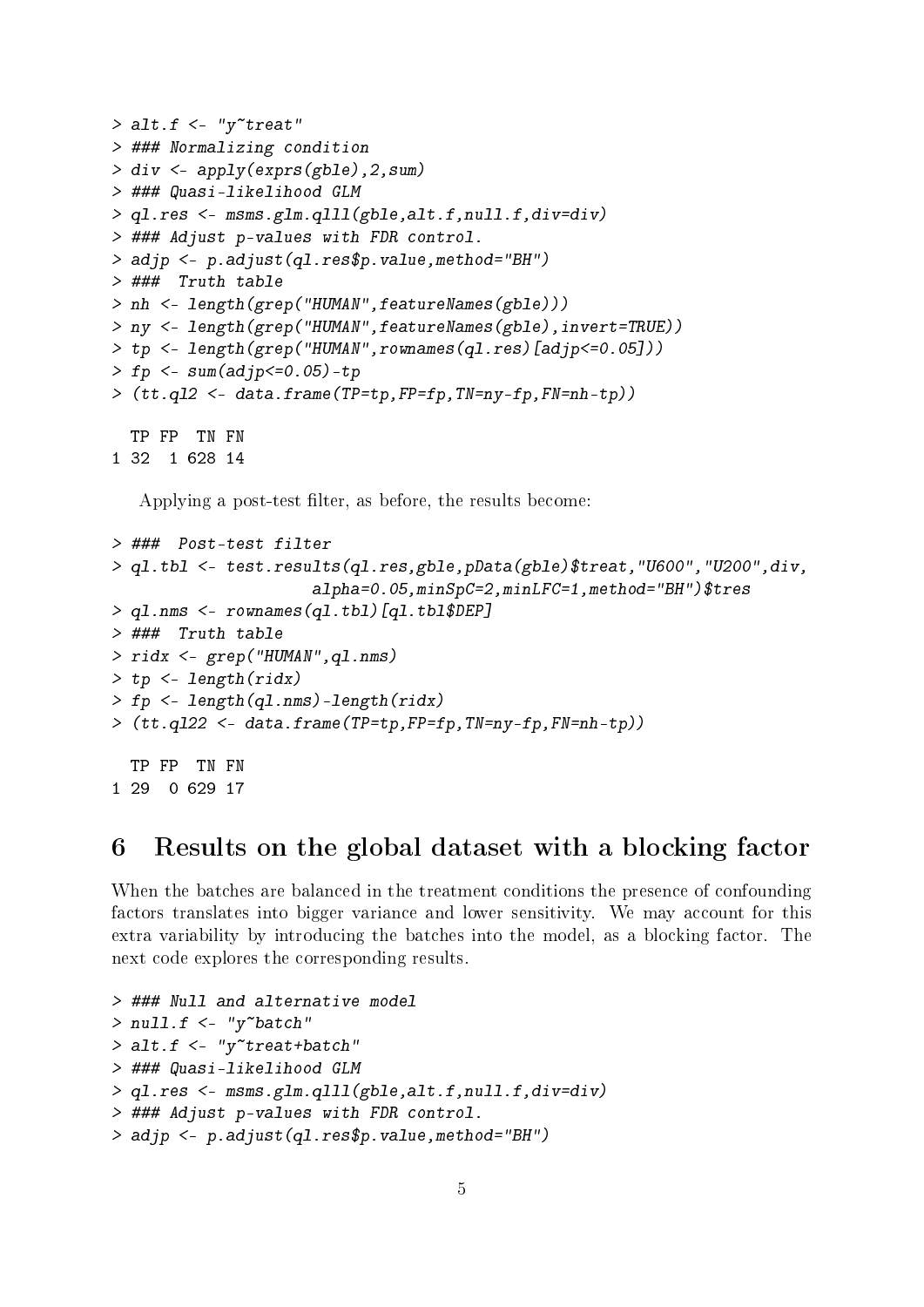```
> alt.f \lt- "y<sup>~</sup>treat"
> ### Normalizing condition
> div <- apply(exprs(gble),2,sum)
> ### Quasi-likelihood GLM
> ql.res <- msms.glm.qlll(gble,alt.f,null.f,div=div)
> ### Adjust p-values with FDR control.
> adjp <- p.adjust(ql.res$p.value,method="BH")
> ### Truth table
> nh <- length(grep("HUMAN",featureNames(gble)))
> ny <- length(grep("HUMAN",featureNames(gble),invert=TRUE))
> tp <- length(grep("HUMAN",rownames(ql.res)[adjp<=0.05]))
> fp <- sum(adjp<=0.05)-tp
> (tt.ql2 <- data.frame(TP=tp,FP=fp,TN=ny-fp,FN=nh-tp))
  TP FP TN FN
1 32 1 628 14
```
Applying a post-test filter, as before, the results become:

```
> ### Post-test filter
> ql.tbl <- test.results(ql.res,gble,pData(gble)$treat,"U600","U200",div,
                     alpha=0.05,minSpC=2,minLFC=1,method="BH")$tres
> ql.nms <- rownames(ql.tbl)[ql.tbl$DEP]
> ### Truth table
> ridx <- grep("HUMAN",ql.nms)
> tp <- length(ridx)
> fp <- length(ql.nms)-length(ridx)
> (tt.ql22 <- data.frame(TP=tp,FP=fp,TN=ny-fp,FN=nh-tp))
 TP FP TN FN
1 29 0 629 17
```
#### 6 Results on the global dataset with a blocking factor

When the batches are balanced in the treatment conditions the presence of confounding factors translates into bigger variance and lower sensitivity. We may account for this extra variability by introducing the batches into the model, as a blocking factor. The next code explores the corresponding results.

```
> ### Null and alternative model
> null.f < - "y"batch"
> alt.f \leq "y"treat+batch"
> ### Quasi-likelihood GLM
> ql.res <- msms.glm.qlll(gble,alt.f,null.f,div=div)
> ### Adjust p-values with FDR control.
> adjp <- p.adjust(ql.res$p.value,method="BH")
```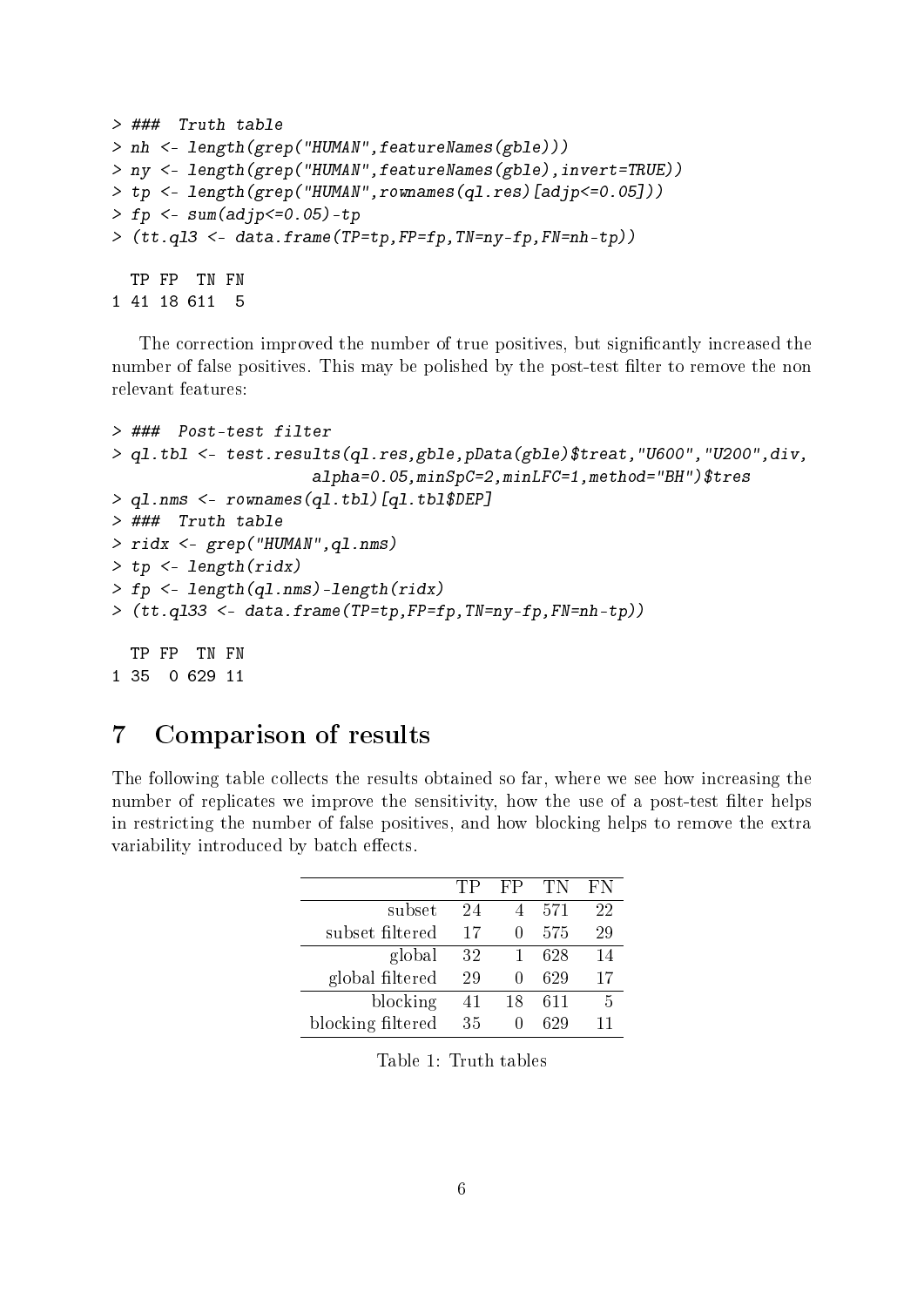```
> ### Truth table
> nh <- length(grep("HUMAN",featureNames(gble)))
> ny <- length(grep("HUMAN",featureNames(gble),invert=TRUE))
> tp <- length(grep("HUMAN",rownames(ql.res)[adjp<=0.05]))
> fp <- sum(adjp<=0.05)-tp
> (tt.ql3 <- data.frame(TP=tp,FP=fp,TN=ny-fp,FN=nh-tp))
 TP FP TN FN
1 41 18 611 5
```
The correction improved the number of true positives, but significantly increased the number of false positives. This may be polished by the post-test filter to remove the non relevant features:

```
> ### Post-test filter
> ql.tbl <- test.results(ql.res,gble,pData(gble)$treat,"U600","U200",div,
                     alpha=0.05,minSpC=2,minLFC=1,method="BH")$tres
> ql.nms <- rownames(ql.tbl)[ql.tbl$DEP]
> ### Truth table
> ridx <- grep("HUMAN",ql.nms)
> tp <- length(ridx)
> fp <- length(ql.nms)-length(ridx)
> (tt.ql33 <- data.frame(TP=tp,FP=fp,TN=ny-fp,FN=nh-tp))
 TP FP TN FN
1 35 0 629 11
```
# 7 Comparison of results

The following table collects the results obtained so far, where we see how increasing the number of replicates we improve the sensitivity, how the use of a post-test filter helps in restricting the number of false positives, and how blocking helps to remove the extra variability introduced by batch effects.

|                   | 'TP | FР | TN  | FΝ |
|-------------------|-----|----|-----|----|
| subset            | 24  | 4  | 571 | 22 |
| subset filtered   | 17  |    | 575 | 29 |
| global            | 32  |    | 628 | 14 |
| global filtered   | 29  |    | 629 | 17 |
| blocking          | 41  | 18 | 611 | 5  |
| blocking filtered | 35  |    | 629 | 11 |

Table 1: Truth tables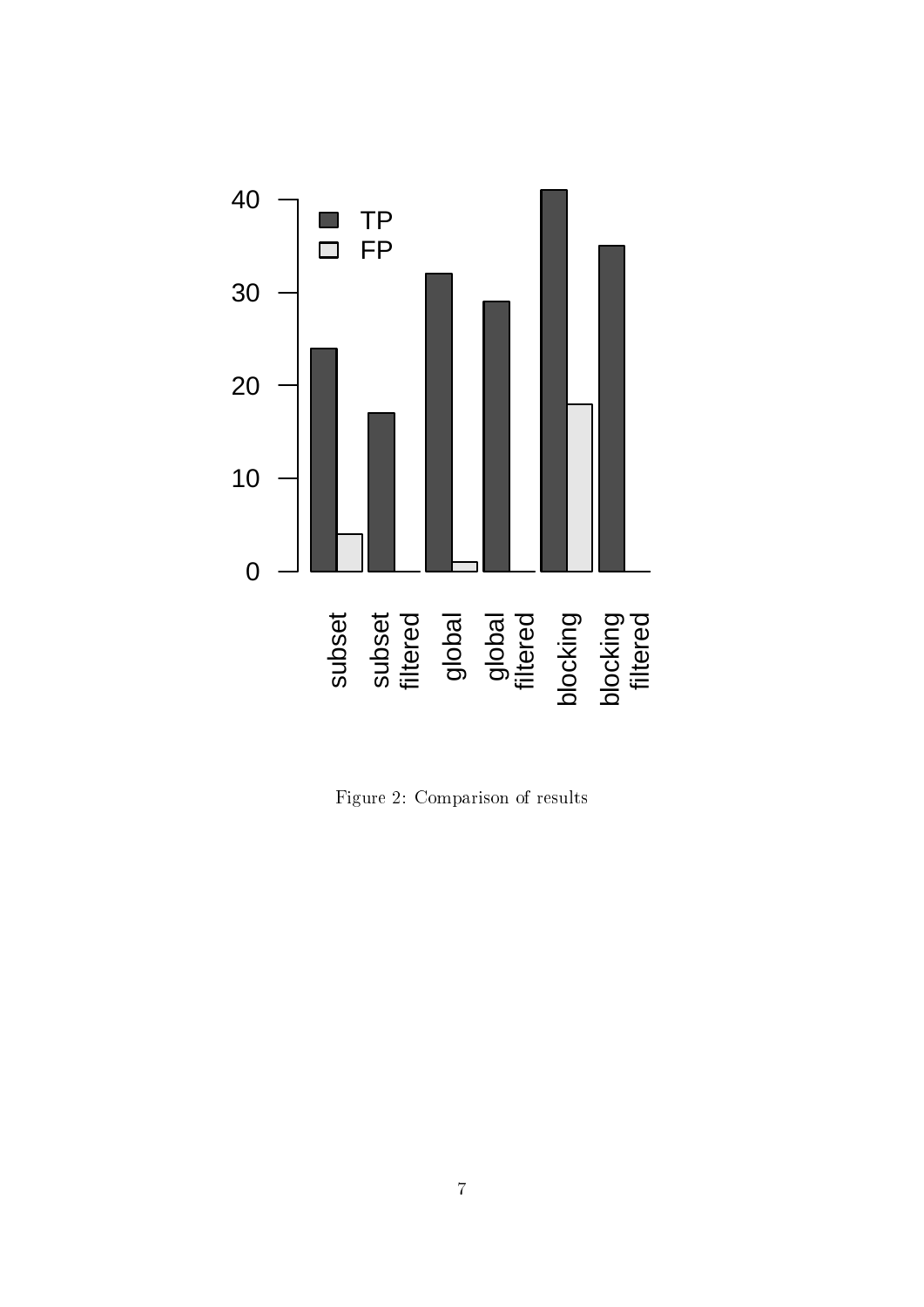

Figure 2: Comparison of results